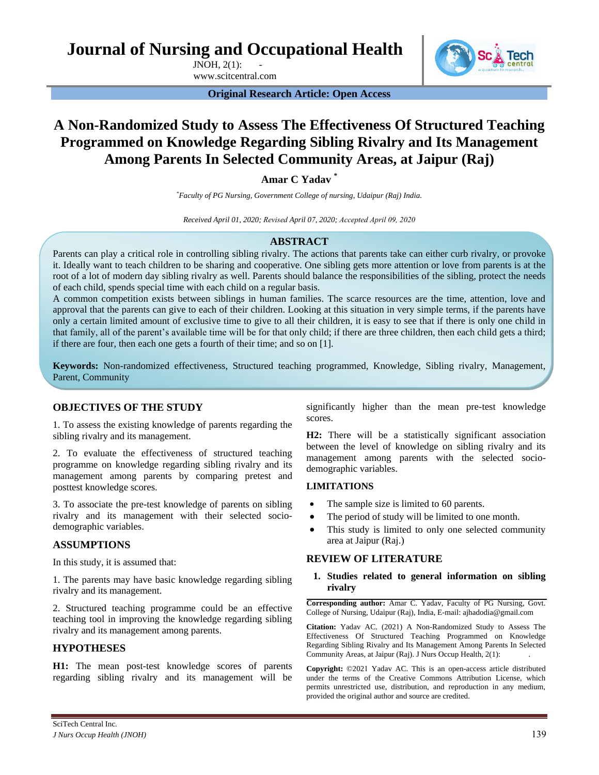**Journal of Nursing and Occupational Health** 

JNOH, 2(1): 139-143 www.scitcentral.com



**Original Research Article: Open Access** 

# **A Non-Randomized Study to Assess The Effectiveness Of Structured Teaching Programmed on Knowledge Regarding Sibling Rivalry and Its Management Among Parents In Selected Community Areas, at Jaipur (Raj)**

**Amar C Yadav \***

*\*Faculty of PG Nursing, Government College of nursing, Udaipur (Raj) India.* 

*Received April 01, 2020; Revised April 07, 2020; Accepted April 09, 2020*

# **ABSTRACT**

Parents can play a critical role in controlling sibling rivalry. The actions that parents take can either curb rivalry, or provoke it. Ideally want to teach children to be sharing and cooperative. One sibling gets more attention or love from parents is at the root of a lot of modern day sibling rivalry as well. Parents should balance the responsibilities of the sibling, protect the needs of each child, spends special time with each child on a regular basis.

A common competition exists between siblings in human families. The scarce resources are the time, attention, love and approval that the parents can give to each of their children. Looking at this situation in very simple terms, if the parents have only a certain limited amount of exclusive time to give to all their children, it is easy to see that if there is only one child in that family, all of the parent's available time will be for that only child; if there are three children, then each child gets a third; if there are four, then each one gets a fourth of their time; and so on [1].

**Keywords:** Non-randomized effectiveness, Structured teaching programmed, Knowledge, Sibling rivalry, Management, Parent, Community

# **OBJECTIVES OF THE STUDY**

1. To assess the existing knowledge of parents regarding the sibling rivalry and its management.

2. To evaluate the effectiveness of structured teaching programme on knowledge regarding sibling rivalry and its management among parents by comparing pretest and posttest knowledge scores.

3. To associate the pre-test knowledge of parents on sibling rivalry and its management with their selected sociodemographic variables.

## **ASSUMPTIONS**

In this study, it is assumed that:

1. The parents may have basic knowledge regarding sibling rivalry and its management.

2. Structured teaching programme could be an effective teaching tool in improving the knowledge regarding sibling rivalry and its management among parents.

# **HYPOTHESES**

**H1:** The mean post-test knowledge scores of parents regarding sibling rivalry and its management will be

significantly higher than the mean pre-test knowledge scores.

**H2:** There will be a statistically significant association between the level of knowledge on sibling rivalry and its management among parents with the selected sociodemographic variables.

# **LIMITATIONS**

- The sample size is limited to 60 parents.
- The period of study will be limited to one month.
- This study is limited to only one selected community area at Jaipur (Raj.)

## **REVIEW OF LITERATURE**

**1. Studies related to general information on sibling rivalry**

**Corresponding author:** Amar C. Yadav, Faculty of PG Nursing, Govt. College of Nursing, Udaipur (Raj), India, E-mail: ajhadodia@gmail.com

**Citation:** Yadav AC. (2021) A Non-Randomized Study to Assess The Effectiveness Of Structured Teaching Programmed on Knowledge Regarding Sibling Rivalry and Its Management Among Parents In Selected Community Areas, at Jaipur (Raj). J Nurs Occup Health, 2(1): 139-143.

**Copyright:** ©2021 Yadav AC. This is an open-access article distributed under the terms of the Creative Commons Attribution License, which permits unrestricted use, distribution, and reproduction in any medium, provided the original author and source are credited.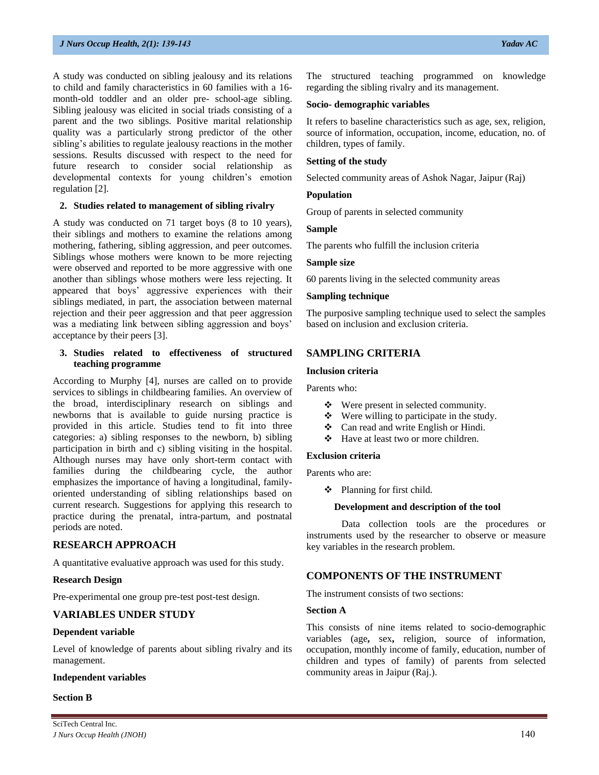A study was conducted on sibling jealousy and its relations to child and family characteristics in 60 families with a 16 month-old toddler and an older pre- school-age sibling. Sibling jealousy was elicited in social triads consisting of a parent and the two siblings. Positive marital relationship quality was a particularly strong predictor of the other sibling's abilities to regulate jealousy reactions in the mother sessions. Results discussed with respect to the need for future research to consider social relationship as developmental contexts for young children's emotion regulation [2].

## **2. Studies related to management of sibling rivalry**

A study was conducted on 71 target boys (8 to 10 years), their siblings and mothers to examine the relations among mothering, fathering, sibling aggression, and peer outcomes. Siblings whose mothers were known to be more rejecting were observed and reported to be more aggressive with one another than siblings whose mothers were less rejecting. It appeared that boys' aggressive experiences with their siblings mediated, in part, the association between maternal rejection and their peer aggression and that peer aggression was a mediating link between sibling aggression and boys' acceptance by their peers [3].

## **3. Studies related to effectiveness of structured teaching programme**

According to Murphy [4], nurses are called on to provide services to siblings in childbearing families. An overview of the broad, interdisciplinary research on siblings and newborns that is available to guide nursing practice is provided in this article. Studies tend to fit into three categories: a) sibling responses to the newborn, b) sibling participation in birth and c) sibling visiting in the hospital. Although nurses may have only short-term contact with families during the childbearing cycle, the author emphasizes the importance of having a longitudinal, familyoriented understanding of sibling relationships based on current research. Suggestions for applying this research to practice during the prenatal, intra-partum, and postnatal periods are noted.

# **RESEARCH APPROACH**

A quantitative evaluative approach was used for this study.

## **Research Design**

Pre-experimental one group pre-test post-test design.

# **VARIABLES UNDER STUDY**

## **Dependent variable**

Level of knowledge of parents about sibling rivalry and its management.

## **Independent variables**

## **Section B**

The structured teaching programmed on knowledge regarding the sibling rivalry and its management.

## **Socio- demographic variables**

It refers to baseline characteristics such as age, sex, religion, source of information, occupation, income, education, no. of children, types of family.

# **Setting of the study**

Selected community areas of Ashok Nagar, Jaipur (Raj)

## **Population**

Group of parents in selected community

## **Sample**

The parents who fulfill the inclusion criteria

## **Sample size**

60 parents living in the selected community areas

## **Sampling technique**

The purposive sampling technique used to select the samples based on inclusion and exclusion criteria.

# **SAMPLING CRITERIA**

## **Inclusion criteria**

Parents who:

- Were present in selected community.
- $\bullet$  Were willing to participate in the study.
- Can read and write English or Hindi.
- ❖ Have at least two or more children.

# **Exclusion criteria**

Parents who are:

**\*** Planning for first child.

## **Development and description of the tool**

Data collection tools are the procedures or instruments used by the researcher to observe or measure key variables in the research problem.

# **COMPONENTS OF THE INSTRUMENT**

The instrument consists of two sections:

## **Section A**

This consists of nine items related to socio-demographic variables (age**,** sex**,** religion, source of information, occupation, monthly income of family, education, number of children and types of family) of parents from selected community areas in Jaipur (Raj.).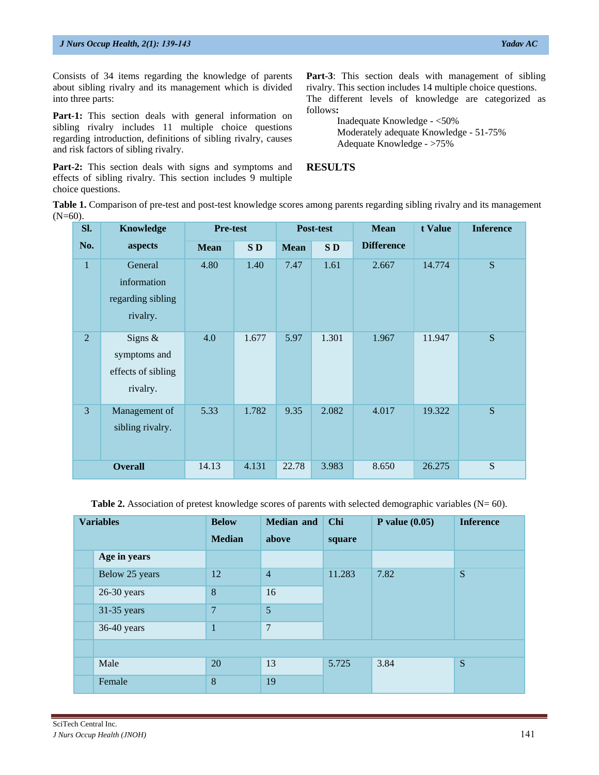**Part-1:** This section deals with general information on sibling rivalry includes 11 multiple choice questions regarding introduction, definitions of sibling rivalry, causes and risk factors of sibling rivalry.

Consists of 34 items regarding the knowledge of parents about sibling rivalry and its management which is divided

Part-2: This section deals with signs and symptoms and effects of sibling rivalry. This section includes 9 multiple choice questions.

Part-3: This section deals with management of sibling rivalry. This section includes 14 multiple choice questions. The different levels of knowledge are categorized as

follows**:**  Inadequate Knowledge - <50% Moderately adequate Knowledge - 51-75% Adequate Knowledge - >75%

**RESULTS** 

**Table 1.** Comparison of pre-test and post-test knowledge scores among parents regarding sibling rivalry and its management  $(N=60)$ .

| SI.            | <b>Knowledge</b>                                             | <b>Pre-test</b> |       |             | Post-test | <b>Mean</b>       | t Value | <b>Inference</b> |
|----------------|--------------------------------------------------------------|-----------------|-------|-------------|-----------|-------------------|---------|------------------|
| No.            | aspects                                                      | <b>Mean</b>     | SD    | <b>Mean</b> | SD        | <b>Difference</b> |         |                  |
| $\mathbf{1}$   | General<br>information<br>regarding sibling<br>rivalry.      | 4.80            | 1.40  | 7.47        | 1.61      | 2.667             | 14.774  | S                |
| 2              | Signs $\&$<br>symptoms and<br>effects of sibling<br>rivalry. | 4.0             | 1.677 | 5.97        | 1.301     | 1.967             | 11.947  | S                |
| $\overline{3}$ | Management of<br>sibling rivalry.                            | 5.33            | 1.782 | 9.35        | 2.082     | 4.017             | 19.322  | S                |
|                | <b>Overall</b>                                               | 14.13           | 4.131 | 22.78       | 3.983     | 8.650             | 26.275  | S                |

**Table 2.** Association of pretest knowledge scores of parents with selected demographic variables (N= 60).

| <b>Variables</b> | <b>Below</b>   | <b>Median and</b> | Chi    | P value $(0.05)$ | <b>Inference</b> |
|------------------|----------------|-------------------|--------|------------------|------------------|
|                  | <b>Median</b>  | above             | square |                  |                  |
| Age in years     |                |                   |        |                  |                  |
| Below 25 years   | 12             | $\overline{4}$    | 11.283 | 7.82             | S                |
| $26-30$ years    | 8              | 16                |        |                  |                  |
| $31-35$ years    | $\overline{7}$ | 5                 |        |                  |                  |
| 36-40 years      | $\mathbf{1}$   | $\overline{7}$    |        |                  |                  |
|                  |                |                   |        |                  |                  |
| Male             | 20             | 13                | 5.725  | 3.84             | S                |
| Female           | 8              | 19                |        |                  |                  |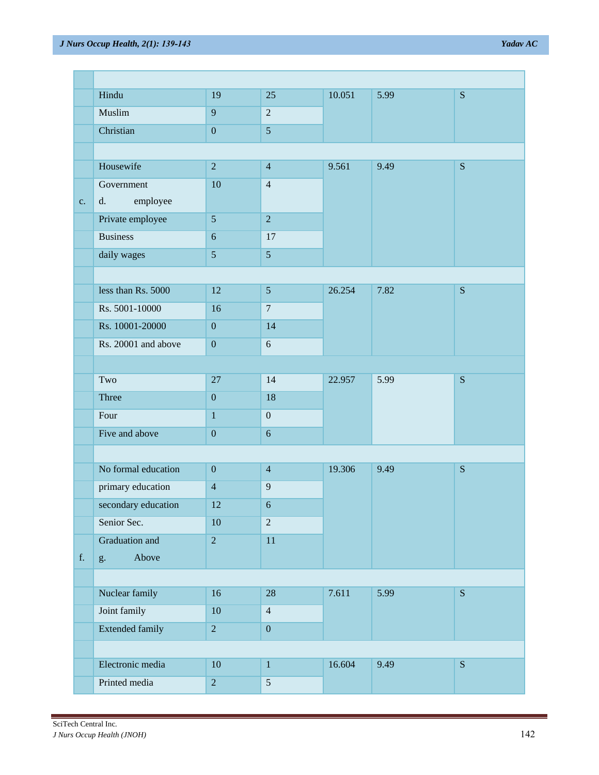| Hindu<br>S<br>19<br>25<br>10.051<br>5.99<br>$\overline{2}$<br>9<br>Muslim<br>Christian<br>$\overline{5}$<br>$\boldsymbol{0}$<br>Housewife<br>$\sqrt{2}$<br>9.561<br>9.49<br>S<br>$\overline{4}$<br>10<br>$\overline{4}$<br>Government<br>employee<br>d.<br>c.<br>Private employee<br>$\overline{2}$<br>$\sqrt{5}$<br><b>Business</b><br>17<br>6<br>$\overline{5}$<br>5<br>daily wages<br>less than Rs. 5000<br>12<br>$\mathfrak{S}$<br>7.82<br>26.254<br>${\bf S}$<br>$\overline{7}$<br>Rs. 5001-10000<br>16<br>Rs. 10001-20000<br>14<br>$\boldsymbol{0}$<br>$\overline{6}$<br>Rs. 20001 and above<br>$\boldsymbol{0}$<br>5.99<br>${\bf S}$<br>Two<br>$27\,$<br>14<br>22.957<br>Three<br>18<br>$\boldsymbol{0}$<br>Four<br>$\mathbf{1}$<br>$\mathbf{0}$<br>Five and above<br>$\overline{6}$<br>$\boldsymbol{0}$<br>No formal education<br>S<br>$\boldsymbol{0}$<br>$\overline{4}$<br>19.306<br>9.49<br>primary education<br>$\overline{9}$<br>$\overline{4}$<br>secondary education<br>12<br>$\sqrt{6}$<br>$\overline{2}$<br>Senior Sec.<br>10<br>Graduation and<br>$\sqrt{2}$<br>$11\,$<br>Above<br>${\bf f}.$<br>g.<br>Nuclear family<br>7.611<br>5.99<br>${\bf S}$<br>16<br>28<br>Joint family<br>10<br>$\overline{4}$<br><b>Extended family</b><br>$\sqrt{2}$<br>$\boldsymbol{0}$<br>9.49<br>${\bf S}$<br>$\mathbf 1$ |                  |        |  |        |  |  |
|---------------------------------------------------------------------------------------------------------------------------------------------------------------------------------------------------------------------------------------------------------------------------------------------------------------------------------------------------------------------------------------------------------------------------------------------------------------------------------------------------------------------------------------------------------------------------------------------------------------------------------------------------------------------------------------------------------------------------------------------------------------------------------------------------------------------------------------------------------------------------------------------------------------------------------------------------------------------------------------------------------------------------------------------------------------------------------------------------------------------------------------------------------------------------------------------------------------------------------------------------------------------------------------------------------------------------|------------------|--------|--|--------|--|--|
|                                                                                                                                                                                                                                                                                                                                                                                                                                                                                                                                                                                                                                                                                                                                                                                                                                                                                                                                                                                                                                                                                                                                                                                                                                                                                                                           |                  |        |  |        |  |  |
|                                                                                                                                                                                                                                                                                                                                                                                                                                                                                                                                                                                                                                                                                                                                                                                                                                                                                                                                                                                                                                                                                                                                                                                                                                                                                                                           |                  |        |  |        |  |  |
|                                                                                                                                                                                                                                                                                                                                                                                                                                                                                                                                                                                                                                                                                                                                                                                                                                                                                                                                                                                                                                                                                                                                                                                                                                                                                                                           |                  |        |  |        |  |  |
|                                                                                                                                                                                                                                                                                                                                                                                                                                                                                                                                                                                                                                                                                                                                                                                                                                                                                                                                                                                                                                                                                                                                                                                                                                                                                                                           |                  |        |  |        |  |  |
|                                                                                                                                                                                                                                                                                                                                                                                                                                                                                                                                                                                                                                                                                                                                                                                                                                                                                                                                                                                                                                                                                                                                                                                                                                                                                                                           |                  |        |  |        |  |  |
|                                                                                                                                                                                                                                                                                                                                                                                                                                                                                                                                                                                                                                                                                                                                                                                                                                                                                                                                                                                                                                                                                                                                                                                                                                                                                                                           |                  |        |  |        |  |  |
|                                                                                                                                                                                                                                                                                                                                                                                                                                                                                                                                                                                                                                                                                                                                                                                                                                                                                                                                                                                                                                                                                                                                                                                                                                                                                                                           |                  |        |  |        |  |  |
|                                                                                                                                                                                                                                                                                                                                                                                                                                                                                                                                                                                                                                                                                                                                                                                                                                                                                                                                                                                                                                                                                                                                                                                                                                                                                                                           |                  |        |  |        |  |  |
|                                                                                                                                                                                                                                                                                                                                                                                                                                                                                                                                                                                                                                                                                                                                                                                                                                                                                                                                                                                                                                                                                                                                                                                                                                                                                                                           |                  |        |  |        |  |  |
|                                                                                                                                                                                                                                                                                                                                                                                                                                                                                                                                                                                                                                                                                                                                                                                                                                                                                                                                                                                                                                                                                                                                                                                                                                                                                                                           |                  |        |  |        |  |  |
|                                                                                                                                                                                                                                                                                                                                                                                                                                                                                                                                                                                                                                                                                                                                                                                                                                                                                                                                                                                                                                                                                                                                                                                                                                                                                                                           |                  |        |  |        |  |  |
|                                                                                                                                                                                                                                                                                                                                                                                                                                                                                                                                                                                                                                                                                                                                                                                                                                                                                                                                                                                                                                                                                                                                                                                                                                                                                                                           |                  |        |  |        |  |  |
|                                                                                                                                                                                                                                                                                                                                                                                                                                                                                                                                                                                                                                                                                                                                                                                                                                                                                                                                                                                                                                                                                                                                                                                                                                                                                                                           |                  |        |  |        |  |  |
|                                                                                                                                                                                                                                                                                                                                                                                                                                                                                                                                                                                                                                                                                                                                                                                                                                                                                                                                                                                                                                                                                                                                                                                                                                                                                                                           |                  |        |  |        |  |  |
|                                                                                                                                                                                                                                                                                                                                                                                                                                                                                                                                                                                                                                                                                                                                                                                                                                                                                                                                                                                                                                                                                                                                                                                                                                                                                                                           |                  |        |  |        |  |  |
|                                                                                                                                                                                                                                                                                                                                                                                                                                                                                                                                                                                                                                                                                                                                                                                                                                                                                                                                                                                                                                                                                                                                                                                                                                                                                                                           |                  |        |  |        |  |  |
|                                                                                                                                                                                                                                                                                                                                                                                                                                                                                                                                                                                                                                                                                                                                                                                                                                                                                                                                                                                                                                                                                                                                                                                                                                                                                                                           |                  |        |  |        |  |  |
|                                                                                                                                                                                                                                                                                                                                                                                                                                                                                                                                                                                                                                                                                                                                                                                                                                                                                                                                                                                                                                                                                                                                                                                                                                                                                                                           |                  |        |  |        |  |  |
|                                                                                                                                                                                                                                                                                                                                                                                                                                                                                                                                                                                                                                                                                                                                                                                                                                                                                                                                                                                                                                                                                                                                                                                                                                                                                                                           |                  |        |  |        |  |  |
|                                                                                                                                                                                                                                                                                                                                                                                                                                                                                                                                                                                                                                                                                                                                                                                                                                                                                                                                                                                                                                                                                                                                                                                                                                                                                                                           |                  |        |  |        |  |  |
|                                                                                                                                                                                                                                                                                                                                                                                                                                                                                                                                                                                                                                                                                                                                                                                                                                                                                                                                                                                                                                                                                                                                                                                                                                                                                                                           |                  |        |  |        |  |  |
|                                                                                                                                                                                                                                                                                                                                                                                                                                                                                                                                                                                                                                                                                                                                                                                                                                                                                                                                                                                                                                                                                                                                                                                                                                                                                                                           |                  |        |  |        |  |  |
|                                                                                                                                                                                                                                                                                                                                                                                                                                                                                                                                                                                                                                                                                                                                                                                                                                                                                                                                                                                                                                                                                                                                                                                                                                                                                                                           |                  |        |  |        |  |  |
|                                                                                                                                                                                                                                                                                                                                                                                                                                                                                                                                                                                                                                                                                                                                                                                                                                                                                                                                                                                                                                                                                                                                                                                                                                                                                                                           |                  |        |  |        |  |  |
|                                                                                                                                                                                                                                                                                                                                                                                                                                                                                                                                                                                                                                                                                                                                                                                                                                                                                                                                                                                                                                                                                                                                                                                                                                                                                                                           |                  |        |  |        |  |  |
|                                                                                                                                                                                                                                                                                                                                                                                                                                                                                                                                                                                                                                                                                                                                                                                                                                                                                                                                                                                                                                                                                                                                                                                                                                                                                                                           |                  |        |  |        |  |  |
|                                                                                                                                                                                                                                                                                                                                                                                                                                                                                                                                                                                                                                                                                                                                                                                                                                                                                                                                                                                                                                                                                                                                                                                                                                                                                                                           |                  |        |  |        |  |  |
|                                                                                                                                                                                                                                                                                                                                                                                                                                                                                                                                                                                                                                                                                                                                                                                                                                                                                                                                                                                                                                                                                                                                                                                                                                                                                                                           |                  |        |  |        |  |  |
|                                                                                                                                                                                                                                                                                                                                                                                                                                                                                                                                                                                                                                                                                                                                                                                                                                                                                                                                                                                                                                                                                                                                                                                                                                                                                                                           |                  |        |  |        |  |  |
|                                                                                                                                                                                                                                                                                                                                                                                                                                                                                                                                                                                                                                                                                                                                                                                                                                                                                                                                                                                                                                                                                                                                                                                                                                                                                                                           |                  |        |  |        |  |  |
|                                                                                                                                                                                                                                                                                                                                                                                                                                                                                                                                                                                                                                                                                                                                                                                                                                                                                                                                                                                                                                                                                                                                                                                                                                                                                                                           |                  |        |  |        |  |  |
|                                                                                                                                                                                                                                                                                                                                                                                                                                                                                                                                                                                                                                                                                                                                                                                                                                                                                                                                                                                                                                                                                                                                                                                                                                                                                                                           |                  |        |  |        |  |  |
|                                                                                                                                                                                                                                                                                                                                                                                                                                                                                                                                                                                                                                                                                                                                                                                                                                                                                                                                                                                                                                                                                                                                                                                                                                                                                                                           | Electronic media | $10\,$ |  | 16.604 |  |  |
| Printed media<br>$\overline{5}$<br>$\sqrt{2}$                                                                                                                                                                                                                                                                                                                                                                                                                                                                                                                                                                                                                                                                                                                                                                                                                                                                                                                                                                                                                                                                                                                                                                                                                                                                             |                  |        |  |        |  |  |